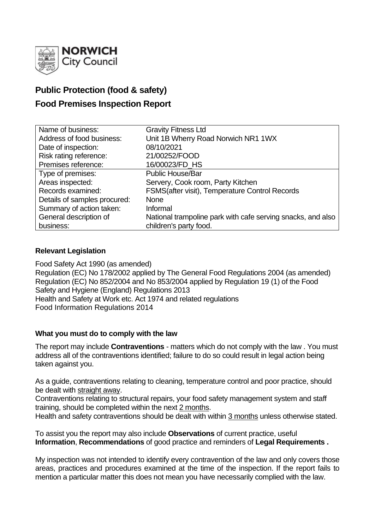

# **Public Protection (food & safety)**

# **Food Premises Inspection Report**

| Name of business:            | <b>Gravity Fitness Ltd</b>                                  |
|------------------------------|-------------------------------------------------------------|
| Address of food business:    | Unit 1B Wherry Road Norwich NR1 1WX                         |
| Date of inspection:          | 08/10/2021                                                  |
| Risk rating reference:       | 21/00252/FOOD                                               |
| Premises reference:          | 16/00023/FD HS                                              |
| Type of premises:            | <b>Public House/Bar</b>                                     |
| Areas inspected:             | Servery, Cook room, Party Kitchen                           |
| Records examined:            | FSMS(after visit), Temperature Control Records              |
| Details of samples procured: | <b>None</b>                                                 |
| Summary of action taken:     | Informal                                                    |
| General description of       | National trampoline park with cafe serving snacks, and also |
| business:                    | children's party food.                                      |

# **Relevant Legislation**

Food Safety Act 1990 (as amended) Regulation (EC) No 178/2002 applied by The General Food Regulations 2004 (as amended) Regulation (EC) No 852/2004 and No 853/2004 applied by Regulation 19 (1) of the Food Safety and Hygiene (England) Regulations 2013 Health and Safety at Work etc. Act 1974 and related regulations Food Information Regulations 2014

# **What you must do to comply with the law**

The report may include **Contraventions** - matters which do not comply with the law . You must address all of the contraventions identified; failure to do so could result in legal action being taken against you.

As a guide, contraventions relating to cleaning, temperature control and poor practice, should be dealt with straight away.

Contraventions relating to structural repairs, your food safety management system and staff training, should be completed within the next 2 months.

Health and safety contraventions should be dealt with within 3 months unless otherwise stated.

To assist you the report may also include **Observations** of current practice, useful **Information**, **Recommendations** of good practice and reminders of **Legal Requirements .**

My inspection was not intended to identify every contravention of the law and only covers those areas, practices and procedures examined at the time of the inspection. If the report fails to mention a particular matter this does not mean you have necessarily complied with the law.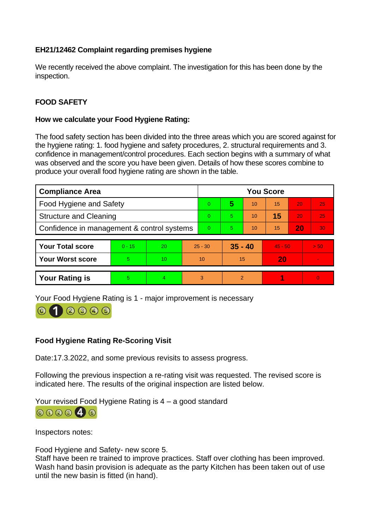# **EH21/12462 Complaint regarding premises hygiene**

We recently received the above complaint. The investigation for this has been done by the inspection.

# **FOOD SAFETY**

# **How we calculate your Food Hygiene Rating:**

The food safety section has been divided into the three areas which you are scored against for the hygiene rating: 1. food hygiene and safety procedures, 2. structural requirements and 3. confidence in management/control procedures. Each section begins with a summary of what was observed and the score you have been given. Details of how these scores combine to produce your overall food hygiene rating are shown in the table.

| <b>Compliance Area</b>                     |          |    |    | <b>You Score</b> |               |    |           |    |          |
|--------------------------------------------|----------|----|----|------------------|---------------|----|-----------|----|----------|
| Food Hygiene and Safety                    |          |    |    | 0                | 5             | 10 | 15        | 20 | 25       |
| <b>Structure and Cleaning</b>              |          |    |    | 0                | 5             | 10 | 15        | 20 | 25       |
| Confidence in management & control systems |          |    |    | $\overline{0}$   | 5             | 10 | 15        | 20 | 30       |
| <b>Your Total score</b>                    | $0 - 15$ | 20 |    | $25 - 30$        | $35 - 40$     |    | $45 - 50$ |    | > 50     |
| <b>Your Worst score</b>                    | 5        | 10 | 10 |                  | 15            |    | 20        |    |          |
|                                            |          |    |    |                  |               |    |           |    |          |
| <b>Your Rating is</b>                      | 5        |    |    | 3                | $\mathcal{P}$ |    |           |    | $\Omega$ |

Your Food Hygiene Rating is 1 - major improvement is necessary

# $(2)$   $(3)$   $(4)$   $(5)$

# **Food Hygiene Rating Re-Scoring Visit**

Date:17.3.2022, and some previous revisits to assess progress.

Following the previous inspection a re-rating visit was requested. The revised score is indicated here. The results of the original inspection are listed below.

Your revised Food Hygiene Rating is 4 – a good standard 000046

Inspectors notes:

Food Hygiene and Safety- new score 5.

Staff have been re trained to improve practices. Staff over clothing has been improved. Wash hand basin provision is adequate as the party Kitchen has been taken out of use until the new basin is fitted (in hand).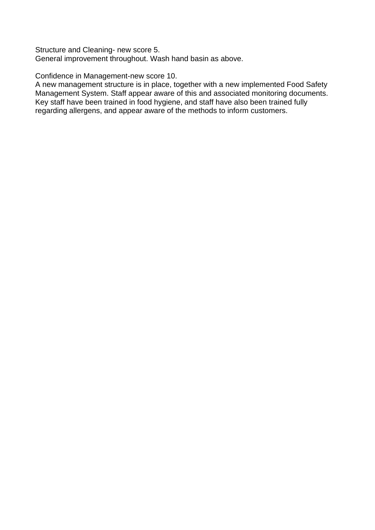Structure and Cleaning- new score 5. General improvement throughout. Wash hand basin as above.

Confidence in Management-new score 10.

A new management structure is in place, together with a new implemented Food Safety Management System. Staff appear aware of this and associated monitoring documents. Key staff have been trained in food hygiene, and staff have also been trained fully regarding allergens, and appear aware of the methods to inform customers.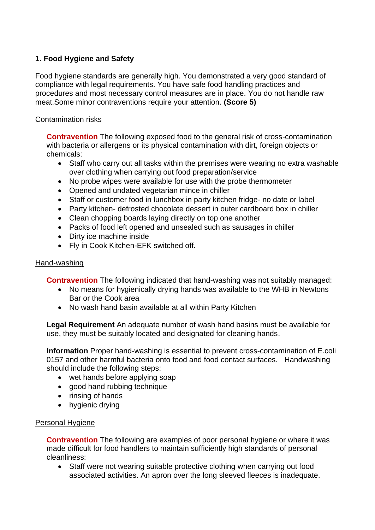# **1. Food Hygiene and Safety**

Food hygiene standards are generally high. You demonstrated a very good standard of compliance with legal requirements. You have safe food handling practices and procedures and most necessary control measures are in place. You do not handle raw meat.Some minor contraventions require your attention. **(Score 5)**

# Contamination risks

**Contravention** The following exposed food to the general risk of cross-contamination with bacteria or allergens or its physical contamination with dirt, foreign objects or chemicals:

- Staff who carry out all tasks within the premises were wearing no extra washable over clothing when carrying out food preparation/service
- No probe wipes were available for use with the probe thermometer
- Opened and undated vegetarian mince in chiller
- Staff or customer food in lunchbox in party kitchen fridge- no date or label
- Party kitchen- defrosted chocolate dessert in outer cardboard box in chiller
- Clean chopping boards laying directly on top one another
- Packs of food left opened and unsealed such as sausages in chiller
- Dirty ice machine inside
- Fly in Cook Kitchen-EFK switched off.

# Hand-washing

**Contravention** The following indicated that hand-washing was not suitably managed:

- No means for hygienically drying hands was available to the WHB in Newtons Bar or the Cook area
- No wash hand basin available at all within Party Kitchen

**Legal Requirement** An adequate number of wash hand basins must be available for use, they must be suitably located and designated for cleaning hands.

**Information** Proper hand-washing is essential to prevent cross-contamination of E.coli 0157 and other harmful bacteria onto food and food contact surfaces. Handwashing should include the following steps:

- wet hands before applying soap
- good hand rubbing technique
- rinsing of hands
- hygienic drying

# Personal Hygiene

**Contravention** The following are examples of poor personal hygiene or where it was made difficult for food handlers to maintain sufficiently high standards of personal cleanliness:

Staff were not wearing suitable protective clothing when carrying out food associated activities. An apron over the long sleeved fleeces is inadequate.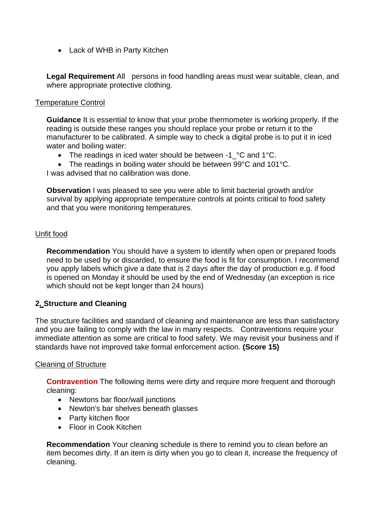• Lack of WHB in Party Kitchen

**Legal Requirement** All persons in food handling areas must wear suitable, clean, and where appropriate protective clothing.

#### Temperature Control

**Guidance** It is essential to know that your probe thermometer is working properly. If the reading is outside these ranges you should replace your probe or return it to the manufacturer to be calibrated. A simple way to check a digital probe is to put it in iced water and boiling water:

- The readings in iced water should be between -1 °C and 1°C.
- The readings in boiling water should be between 99°C and 101°C.

I was advised that no calibration was done.

**Observation** I was pleased to see you were able to limit bacterial growth and/or survival by applying appropriate temperature controls at points critical to food safety and that you were monitoring temperatures.

### Unfit food

**Recommendation** You should have a system to identify when open or prepared foods need to be used by or discarded, to ensure the food is fit for consumption. I recommend you apply labels which give a date that is 2 days after the day of production e.g. if food is opened on Monday it should be used by the end of Wednesday (an exception is rice which should not be kept longer than 24 hours)

# **2. Structure and Cleaning**

The structure facilities and standard of cleaning and maintenance are less than satisfactory and you are failing to comply with the law in many respects. Contraventions require your immediate attention as some are critical to food safety. We may revisit your business and if standards have not improved take formal enforcement action. **(Score 15)**

### Cleaning of Structure

**Contravention** The following items were dirty and require more frequent and thorough cleaning:

- Newtons bar floor/wall junctions
- Newton's bar shelves beneath glasses
- Party kitchen floor
- Floor in Cook Kitchen

**Recommendation** Your cleaning schedule is there to remind you to clean before an item becomes dirty. If an item is dirty when you go to clean it, increase the frequency of cleaning.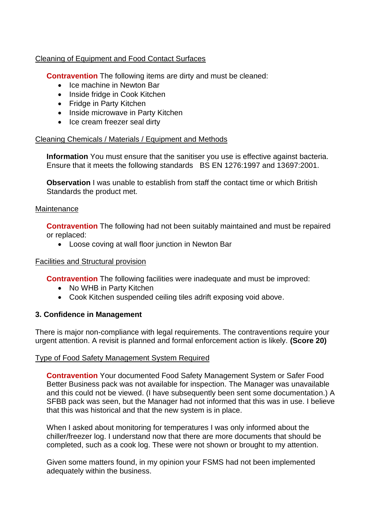# Cleaning of Equipment and Food Contact Surfaces

**Contravention** The following items are dirty and must be cleaned:

- Ice machine in Newton Bar
- Inside fridge in Cook Kitchen
- Fridge in Party Kitchen
- Inside microwave in Party Kitchen
- Ice cream freezer seal dirty

### Cleaning Chemicals / Materials / Equipment and Methods

**Information** You must ensure that the sanitiser you use is effective against bacteria. Ensure that it meets the following standards BS EN 1276:1997 and 13697:2001.

**Observation** I was unable to establish from staff the contact time or which British Standards the product met.

### **Maintenance**

**Contravention** The following had not been suitably maintained and must be repaired or replaced:

• Loose coving at wall floor junction in Newton Bar

### Facilities and Structural provision

**Contravention** The following facilities were inadequate and must be improved:

- No WHB in Party Kitchen
- Cook Kitchen suspended ceiling tiles adrift exposing void above.

# **3. Confidence in Management**

There is major non-compliance with legal requirements. The contraventions require your urgent attention. A revisit is planned and formal enforcement action is likely. **(Score 20)**

### Type of Food Safety Management System Required

**Contravention** Your documented Food Safety Management System or Safer Food Better Business pack was not available for inspection. The Manager was unavailable and this could not be viewed. (I have subsequently been sent some documentation.) A SFBB pack was seen, but the Manager had not informed that this was in use. I believe that this was historical and that the new system is in place.

When I asked about monitoring for temperatures I was only informed about the chiller/freezer log. I understand now that there are more documents that should be completed, such as a cook log. These were not shown or brought to my attention.

Given some matters found, in my opinion your FSMS had not been implemented adequately within the business.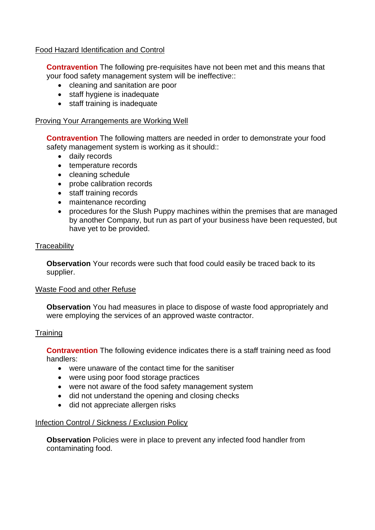### Food Hazard Identification and Control

**Contravention** The following pre-requisites have not been met and this means that your food safety management system will be ineffective::

- cleaning and sanitation are poor
- staff hygiene is inadequate
- staff training is inadequate

#### Proving Your Arrangements are Working Well

**Contravention** The following matters are needed in order to demonstrate your food safety management system is working as it should::

- daily records
- temperature records
- cleaning schedule
- probe calibration records
- staff training records
- maintenance recording
- procedures for the Slush Puppy machines within the premises that are managed by another Company, but run as part of your business have been requested, but have yet to be provided.

### **Traceability**

**Observation** Your records were such that food could easily be traced back to its supplier.

#### Waste Food and other Refuse

**Observation** You had measures in place to dispose of waste food appropriately and were employing the services of an approved waste contractor.

#### **Training**

**Contravention** The following evidence indicates there is a staff training need as food handlers:

- were unaware of the contact time for the sanitiser
- were using poor food storage practices
- were not aware of the food safety management system
- did not understand the opening and closing checks
- did not appreciate allergen risks

### Infection Control / Sickness / Exclusion Policy

**Observation** Policies were in place to prevent any infected food handler from contaminating food.